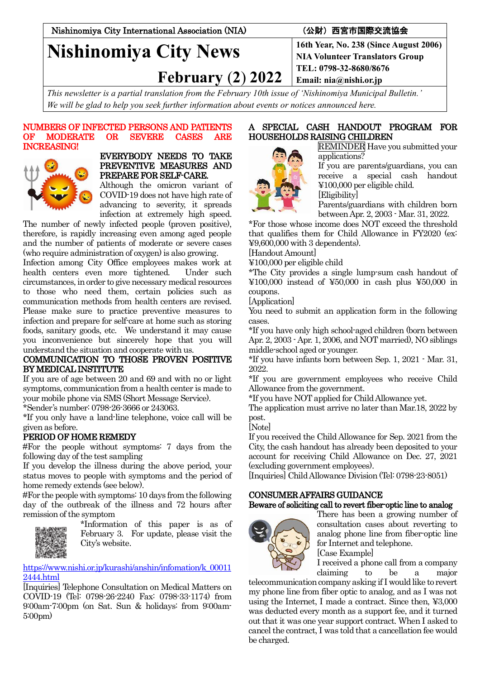Nishinomiya City International Association (NIA) (公財)西宮市国際交流協会

# **Nishinomiya City News**

 **February** (**2**) **2022**

**TEL: 0798-32-8680/8676 Email: nia@nishi.or.jp**

*This newsletter is a partial translation from the February 10th issue of 'Nishinomiya Municipal Bulletin.' We will be glad to help you seek further information about events or notices announced here.*

### NUMBERS OF INFECTED PERSONS AND PATIENTS OF MODERATE OR SEVERE CASES ARE INCREASING!



### EVERYBODY NEEDS TO TAKE PREVENTIVE MEASURES AND PREPARE FOR SELF-CARE.

Although the omicron variant of COVID-19 does not have high rate of advancing to severity, it spreads infection at extremely high speed.

The number of newly infected people (proven positive), therefore, is rapidly increasing even among aged people and the number of patients of moderate or severe cases (who require administration of oxygen) is also growing.

Infection among City Office employees makes work at health centers even more tightened. Under such circumstances, in order to give necessary medical resources to those who need them, certain policies such as communication methods from health centers are revised. Please make sure to practice preventive measures to infection and prepare for self-care at home such as storing foods, sanitary goods, etc. We understand it may cause you inconvenience but sincerely hope that you will understand the situation and cooperate with us.

# COMMUNICATION TO THOSE PROVEN POSITIVE BY MEDICAL INSTITUTE

If you are of age between 20 and 69 and with no or light symptoms, communication from a health center is made to your mobile phone via SMS (Short Message Service).

\*Sender's number: 0798-26-3666 or 243063.

\*If you only have a land-line telephone, voice call will be given as before.

# PERIOD OF HOME REMEDY

#For the people without symptoms: 7 days from the following day of the test sampling

If you develop the illness during the above period, your status moves to people with symptoms and the period of home remedy extends (see below).

#For the people with symptoms: 10 days from the following day of the outbreak of the illness and 72 hours after remission of the symptom



\*Information of this paper is as of February 3. For update, please visit the City's website.

[https://www.nishi.or.jp/kurashi/anshin/infomation/k\\_00011](https://www.nishi.or.jp/kurashi/anshin/infomation/k_000112444.html) [2444.html](https://www.nishi.or.jp/kurashi/anshin/infomation/k_000112444.html)

[Inquiries] Telephone Consultation on Medical Matters on COVID-19 (Tel: 0798-26-2240 Fax: 0798-33-1174) from 9:00am-7:00pm (on Sat. Sun & holidays: from 9:00am-5:00pm)

# A SPECIAL CASH HANDOUT PROGRAM FOR HOUSEHOLDS RAISING CHILDREN



REMINDER Have you submitted your applications?

If you are parents/guardians, you can receive a special cash handout ¥100,000 per eligible child. [Eligibility]

Parents/guardians with children born between Apr. 2, 2003 - Mar. 31, 2022.

\*For those whose income does NOT exceed the threshold that qualifies them for Child Allowance in FY2020 (ex: ¥9,600,000 with 3 dependents).

[Handout Amount]

¥100,000 per eligible child

\*The City provides a single lump-sum cash handout of ¥100,000 instead of ¥50,000 in cash plus ¥50,000 in coupons.

[Application]

You need to submit an application form in the following cases.

\*If you have only high school-aged children (born between Apr. 2, 2003 - Apr. 1, 2006, and NOT married), NO siblings middle-school aged or younger.

\*If you have infants born between Sep. 1, 2021 - Mar. 31, 2022.

\*If you are government employees who receive Child Allowance from the government.

\*If you have NOT applied for Child Allowance yet.

The application must arrive no later than Mar.18, 2022 by post.

[Note]

If you received the Child Allowance for Sep. 2021 from the City, the cash handout has already been deposited to your account for receiving Child Allowance on Dec. 27, 2021 (excluding government employees).

[Inquiries] Child Allowance Division (Tel: 0798-23-8051)

# CONSUMER AFFAIRS GUIDANCE

# Beware of soliciting call to revert fiber-optic line to analog



There has been a growing number of consultation cases about reverting to analog phone line from fiber-optic line for Internet and telephone.

[Case Example]

I received a phone call from a company claiming to be a major

telecommunication company asking if I would like to revert my phone line from fiber optic to analog, and as I was not using the Internet, I made a contract. Since then, ¥3,000 was deducted every month as a support fee, and it turned out that it was one year support contract. When I asked to cancel the contract, I was told that a cancellation fee would be charged.

**16th Year, No. 238 (Since August 2006) NIA Volunteer Translators Group**